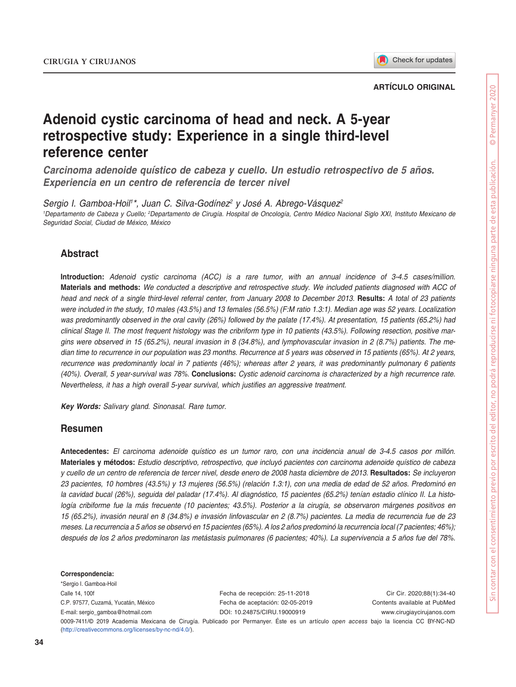

### **ARTÍCULO ORIGINAL**

# **Adenoid cystic carcinoma of head and neck. A 5-year retrospective study: Experience in a single third-level reference center**

*Carcinoma adenoide quístico de cabeza y cuello. Un estudio retrospectivo de 5 años. Experiencia en un centro de referencia de tercer nivel*

*Sergio I. Gamboa-Hoil1 \*, Juan C. Silva-Godínez2 y José A. Abrego-Vásquez2 1 Departamento de Cabeza y Cuello; 2 Departamento de Cirugía. Hospital de Oncología, Centro Médico Nacional Siglo XXI, Instituto Mexicano de Seguridad Social, Ciudad de México, México*

## **Abstract**

**Introduction:** *Adenoid cystic carcinoma (ACC) is a rare tumor, with an annual incidence of 3-4.5 cases/million.*  **Materials and methods:** *We conducted a descriptive and retrospective study. We included patients diagnosed with ACC of head and neck of a single third-level referral center, from January 2008 to December 2013.* **Results:** *A total of 23 patients were included in the study, 10 males (43.5%) and 13 females (56.5%) (F:M ratio 1.3:1). Median age was 52 years. Localization*  was predominantly observed in the oral cavity (26%) followed by the palate (17.4%). At presentation, 15 patients (65.2%) had *clinical Stage II. The most frequent histology was the cribriform type in 10 patients (43.5%). Following resection, positive margins were observed in 15 (65.2%), neural invasion in 8 (34.8%), and lymphovascular invasion in 2 (8.7%) patients. The median time to recurrence in our population was 23 months. Recurrence at 5 years was observed in 15 patients (65%). At 2 years, recurrence was predominantly local in 7 patients (46%); whereas after 2 years, it was predominantly pulmonary 6 patients (40%). Overall, 5 year-survival was 78%.* **Conclusions:** *Cystic adenoid carcinoma is characterized by a high recurrence rate. Nevertheless, it has a high overall 5-year survival, which justifies an aggressive treatment.*

*Key Words: Salivary gland. Sinonasal. Rare tumor.*

### **Resumen**

**Antecedentes:** *El carcinoma adenoide quístico es un tumor raro, con una incidencia anual de 3-4.5 casos por millón.* **Materiales y métodos:** *Estudio descriptivo, retrospectivo, que incluyó pacientes con carcinoma adenoide quístico de cabeza y cuello de un centro de referencia de tercer nivel, desde enero de 2008 hasta diciembre de 2013.* **Resultados:** *Se incluyeron 23 pacientes, 10 hombres (43.5%) y 13 mujeres (56.5%) (relación 1.3:1), con una media de edad de 52 años. Predominó en la cavidad bucal (26%), seguida del paladar (17.4%). Al diagnóstico, 15 pacientes (65.2%) tenían estadio clínico II. La histología cribiforme fue la más frecuente (10 pacientes; 43.5%). Posterior a la cirugía, se observaron márgenes positivos en 15 (65.2%), invasión neural en 8 (34.8%) e invasión linfovascular en 2 (8.7%) pacientes. La media de recurrencia fue de 23 meses. La recurrencia a 5 años se observó en 15 pacientes (65%). A los 2 años predominó la recurrencia local (7 pacientes; 46%); después de los 2 años predominaron las metástasis pulmonares (6 pacientes; 40%). La supervivencia a 5 años fue del 78%.*

#### **Correspondencia:**

\*Sergio I. Gamboa-Hoil Calle 14, 100f C.P. 97577, Cuzamá, Yucatán, México E-mail: [sergio\\_gamboa@hotmail.com](file:sergio_gamboa%40hotmail.com)

Fecha de recepción: 25-11-2018 Fecha de aceptación: 02-05-2019 DOI: [10.24875/CIRU.19000919](http://dx.doi.org/10.24875/CIRU.19000919)

Cir Cir. 2020;88(1):34-40 Contents available at PubMed www.cirugiaycirujanos.com

0009-7411/© 2019 Academia Mexicana de Cirugía. Publicado por Permanyer. Éste es un artículo *open access* bajo la licencia CC BY-NC-ND (http://creativecommons.org/licenses/by-nc-nd/4.0/).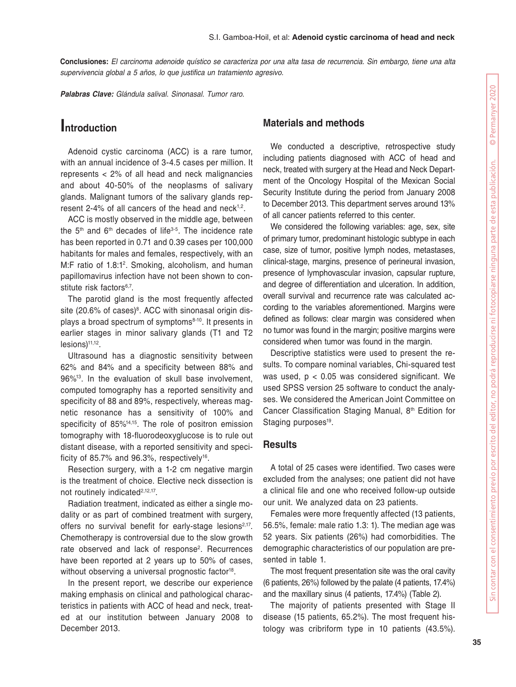**Conclusiones:** *El carcinoma adenoide quístico se caracteriza por una alta tasa de recurrencia. Sin embargo, tiene una alta supervivencia global a 5 años, lo que justifica un tratamiento agresivo.*

*Palabras Clave: Glándula salival. Sinonasal. Tumor raro.*

# **Introduction**

Adenoid cystic carcinoma (ACC) is a rare tumor, with an annual incidence of 3-4.5 cases per million. It represents < 2% of all head and neck malignancies and about 40-50% of the neoplasms of salivary glands. Malignant tumors of the salivary glands represent 2-4% of all cancers of the head and neck<sup>1,2</sup>.

ACC is mostly observed in the middle age, between the  $5<sup>th</sup>$  and  $6<sup>th</sup>$  decades of life<sup>3-5</sup>. The incidence rate has been reported in 0.71 and 0.39 cases per 100,000 habitants for males and females, respectively, with an M:F ratio of 1.8:1<sup>2</sup>. Smoking, alcoholism, and human papillomavirus infection have not been shown to constitute risk factors<sup>6,7</sup>.

The parotid gland is the most frequently affected site (20.6% of cases)<sup>8</sup>. ACC with sinonasal origin displays a broad spectrum of symptoms<sup>8-10</sup>. It presents in earlier stages in minor salivary glands (T1 and T2 lesions)11,12.

Ultrasound has a diagnostic sensitivity between 62% and 84% and a specificity between 88% and 96%13. In the evaluation of skull base involvement, computed tomography has a reported sensitivity and specificity of 88 and 89%, respectively, whereas magnetic resonance has a sensitivity of 100% and specificity of 85%14,15. The role of positron emission tomography with 18-fluorodeoxyglucose is to rule out distant disease, with a reported sensitivity and specificity of 85.7% and 96.3%, respectively<sup>16</sup>.

Resection surgery, with a 1-2 cm negative margin is the treatment of choice. Elective neck dissection is not routinely indicated<sup>2,12,17</sup>.

Radiation treatment, indicated as either a single modality or as part of combined treatment with surgery, offers no survival benefit for early-stage lesions<sup>2,17</sup>. Chemotherapy is controversial due to the slow growth rate observed and lack of response<sup>2</sup>. Recurrences have been reported at 2 years up to 50% of cases, without observing a universal prognostic factor<sup>18</sup>.

In the present report, we describe our experience making emphasis on clinical and pathological characteristics in patients with ACC of head and neck, treated at our institution between January 2008 to December 2013.

# **Materials and methods**

We conducted a descriptive, retrospective study including patients diagnosed with ACC of head and neck, treated with surgery at the Head and Neck Department of the Oncology Hospital of the Mexican Social Security Institute during the period from January 2008 to December 2013. This department serves around 13% of all cancer patients referred to this center.

We considered the following variables: age, sex, site of primary tumor, predominant histologic subtype in each case, size of tumor, positive lymph nodes, metastases, clinical-stage, margins, presence of perineural invasion, presence of lymphovascular invasion, capsular rupture, and degree of differentiation and ulceration. In addition, overall survival and recurrence rate was calculated according to the variables aforementioned. Margins were defined as follows: clear margin was considered when no tumor was found in the margin; positive margins were considered when tumor was found in the margin.

Descriptive statistics were used to present the results. To compare nominal variables, Chi-squared test was used,  $p < 0.05$  was considered significant. We used SPSS version 25 software to conduct the analyses. We considered the American Joint Committee on Cancer Classification Staging Manual, 8<sup>th</sup> Edition for Staging purposes<sup>19</sup>.

### **Results**

A total of 25 cases were identified. Two cases were excluded from the analyses; one patient did not have a clinical file and one who received follow-up outside our unit. We analyzed data on 23 patients.

Females were more frequently affected (13 patients, 56.5%, female: male ratio 1.3: 1). The median age was 52 years. Six patients (26%) had comorbidities. The demographic characteristics of our population are presented in table 1.

The most frequent presentation site was the oral cavity (6 patients, 26%) followed by the palate (4 patients, 17.4%) and the maxillary sinus (4 patients, 17.4%) (Table 2).

The majority of patients presented with Stage II disease (15 patients, 65.2%). The most frequent histology was cribriform type in 10 patients (43.5%).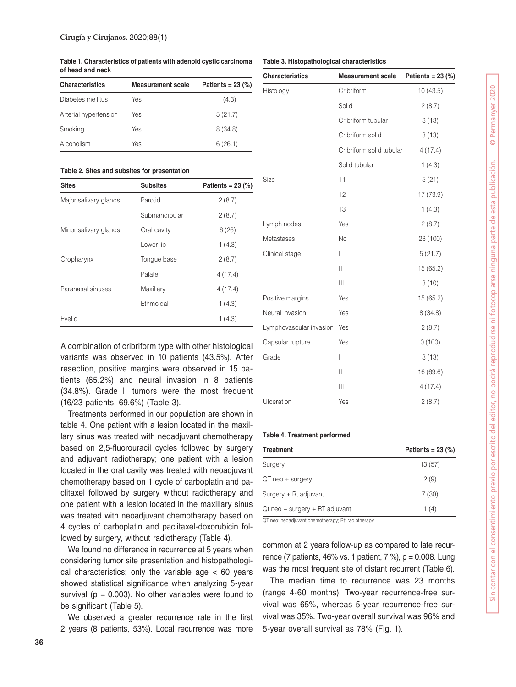**Table 1. Characteristics of patients with adenoid cystic carcinoma of head and neck**

| <b>Characteristics</b> | <b>Measurement scale</b> | Patients = $23$ (%) |
|------------------------|--------------------------|---------------------|
| Diabetes mellitus      | Yes                      | 1(4.3)              |
| Arterial hypertension  | Yes                      | 5(21.7)             |
| Smoking                | Yes                      | 8(34.8)             |
| Alcoholism             | Yes                      | 6(26.1)             |

#### **Table 2. Sites and subsites for presentation**

| <b>Sites</b>          | <b>Subsites</b> | Patients = $23$ (%) |
|-----------------------|-----------------|---------------------|
| Major salivary glands | Parotid         | 2(8.7)              |
|                       | Submandibular   | 2(8.7)              |
| Minor salivary glands | Oral cavity     | 6(26)               |
|                       | Lower lip       | 1(4.3)              |
| Oropharynx            | Tongue base     | 2(8.7)              |
|                       | Palate          | 4(17.4)             |
| Paranasal sinuses     | Maxillary       | 4(17.4)             |
|                       | Ethmoidal       | 1(4.3)              |
| Evelid                |                 | 1(4.3)              |

A combination of cribriform type with other histological variants was observed in 10 patients (43.5%). After resection, positive margins were observed in 15 patients (65.2%) and neural invasion in 8 patients (34.8%). Grade II tumors were the most frequent (16/23 patients, 69.6%) (Table 3).

Treatments performed in our population are shown in table 4. One patient with a lesion located in the maxillary sinus was treated with neoadjuvant chemotherapy based on 2,5-fluorouracil cycles followed by surgery and adjuvant radiotherapy; one patient with a lesion located in the oral cavity was treated with neoadjuvant chemotherapy based on 1 cycle of carboplatin and paclitaxel followed by surgery without radiotherapy and one patient with a lesion located in the maxillary sinus was treated with neoadjuvant chemotherapy based on 4 cycles of carboplatin and paclitaxel-doxorubicin followed by surgery, without radiotherapy (Table 4).

We found no difference in recurrence at 5 years when considering tumor site presentation and histopathological characteristics; only the variable age < 60 years showed statistical significance when analyzing 5-year survival ( $p = 0.003$ ). No other variables were found to be significant (Table 5).

We observed a greater recurrence rate in the first 2 years (8 patients, 53%). Local recurrence was more

#### **Table 3. Histopathological characteristics**

| <b>Characteristics</b>  | <b>Measurement scale</b>                                                  | Patients = $23$ (%) |
|-------------------------|---------------------------------------------------------------------------|---------------------|
| Histology               | Cribriform                                                                | 10(43.5)            |
|                         | Solid                                                                     | 2(8.7)              |
|                         | Cribriform tubular                                                        | 3(13)               |
|                         | Cribriform solid                                                          | 3(13)               |
|                         | Cribriform solid tubular                                                  | 4(17.4)             |
|                         | Solid tubular                                                             | 1(4.3)              |
| Size                    | T1                                                                        | 5(21)               |
|                         | T <sub>2</sub>                                                            | 17 (73.9)           |
|                         | T <sub>3</sub>                                                            | 1(4.3)              |
| Lymph nodes             | Yes                                                                       | 2(8.7)              |
| Metastases              | <b>No</b>                                                                 | 23 (100)            |
| Clinical stage          | I                                                                         | 5(21.7)             |
|                         | $\label{eq:1} \prod_{i=1}^n \left\{ \prod_{i=1}^n \frac{1}{n_i} \right\}$ | 15 (65.2)           |
|                         | $\mathbf{  }$                                                             | 3(10)               |
| Positive margins        | Yes                                                                       | 15 (65.2)           |
| Neural invasion         | Yes                                                                       | 8(34.8)             |
| Lymphovascular invasion | Yes                                                                       | 2(8.7)              |
| Capsular rupture        | Yes                                                                       | 0(100)              |
| Grade                   | $\overline{\phantom{a}}$                                                  | 3(13)               |
|                         | $\mathsf{II}$                                                             | 16 (69.6)           |
|                         | Ш                                                                         | 4(17.4)             |
| Ulceration              | Yes                                                                       | 2(8.7)              |

#### **Table 4. Treatment performed**

| Treatment                      | Patients = $23$ (%) |
|--------------------------------|---------------------|
| Surgery                        | 13(57)              |
| QT neo + surgery               | 2(9)                |
| Surgery + Rt adjuvant          | 7(30)               |
| Qt neo + surgery + RT adjuvant | 1(4)                |

QT neo: neoadjuvant chemotherapy; Rt: radiotherapy.

common at 2 years follow-up as compared to late recurrence (7 patients, 46% vs. 1 patient, 7 %), p = 0.008. Lung was the most frequent site of distant recurrent (Table 6).

The median time to recurrence was 23 months (range 4-60 months). Two-year recurrence-free survival was 65%, whereas 5-year recurrence-free survival was 35%. Two-year overall survival was 96% and 5-year overall survival as 78% (Fig. 1).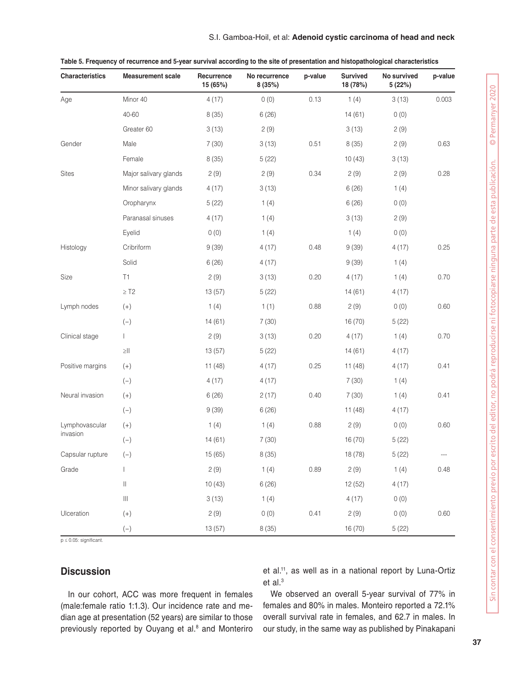### S.I. Gamboa-Hoil, et al: **Adenoid cystic carcinoma of head and neck**

| <b>Characteristics</b> | <b>Measurement scale</b>             | Recurrence<br>15 (65%) | No recurrence<br>8 (35%) | p-value | <b>Survived</b><br>18 (78%) | No survived<br>5 (22%) | p-value |
|------------------------|--------------------------------------|------------------------|--------------------------|---------|-----------------------------|------------------------|---------|
| Age                    | Minor 40                             | 4(17)                  | 0(0)                     | 0.13    | 1(4)                        | 3(13)                  | 0.003   |
|                        | 40-60                                | 8(35)                  | 6(26)                    |         | 14(61)                      | 0(0)                   |         |
|                        | Greater 60                           | 3(13)                  | 2(9)                     |         | 3(13)                       | 2(9)                   |         |
| Gender                 | Male                                 | 7(30)                  | 3(13)                    | 0.51    | 8(35)                       | 2(9)                   | 0.63    |
|                        | Female                               | 8(35)                  | 5(22)                    |         | 10(43)                      | 3(13)                  |         |
| <b>Sites</b>           | Major salivary glands                | 2(9)                   | 2(9)                     | 0.34    | 2(9)                        | 2(9)                   | 0.28    |
|                        | Minor salivary glands                | 4(17)                  | 3(13)                    |         | 6(26)                       | 1(4)                   |         |
|                        | Oropharynx                           | 5(22)                  | 1(4)                     |         | 6(26)                       | 0(0)                   |         |
|                        | Paranasal sinuses                    | 4(17)                  | 1(4)                     |         | 3(13)                       | 2(9)                   |         |
|                        | Eyelid                               | 0(0)                   | 1(4)                     |         | 1(4)                        | 0(0)                   |         |
| Histology              | Cribriform                           | 9(39)                  | 4(17)                    | 0.48    | 9(39)                       | 4(17)                  | 0.25    |
|                        | Solid                                | 6(26)                  | 4(17)                    |         | 9(39)                       | 1(4)                   |         |
| Size                   | T1                                   | 2(9)                   | 3(13)                    | 0.20    | 4(17)                       | 1(4)                   | 0.70    |
|                        | $\geq$ T2                            | 13(57)                 | 5(22)                    |         | 14(61)                      | 4(17)                  |         |
| Lymph nodes            | $(+)$                                | 1(4)                   | 1(1)                     | 0.88    | 2(9)                        | 0(0)                   | 0.60    |
|                        | $(-)$                                | 14(61)                 | 7(30)                    |         | 16(70)                      | 5(22)                  |         |
| Clinical stage         | $\mathbf{I}$                         | 2(9)                   | 3(13)                    | 0.20    | 4(17)                       | 1(4)                   | 0.70    |
|                        | $\geq$ $\mid\mid$                    | 13(57)                 | 5(22)                    |         | 14(61)                      | 4(17)                  |         |
| Positive margins       | $(+)$                                | 11(48)                 | 4(17)                    | 0.25    | 11(48)                      | 4(17)                  | 0.41    |
|                        | $(-)$                                | 4(17)                  | 4(17)                    |         | 7(30)                       | 1(4)                   |         |
| Neural invasion        | $(+)$                                | 6(26)                  | 2(17)                    | 0.40    | 7(30)                       | 1(4)                   | 0.41    |
|                        | $(-)$                                | 9(39)                  | 6(26)                    |         | 11(48)                      | 4(17)                  |         |
| Lymphovascular         | $(+)$                                | 1(4)                   | 1(4)                     | 0.88    | 2(9)                        | 0(0)                   | 0.60    |
| invasion               | $(-)$                                | 14(61)                 | 7(30)                    |         | 16(70)                      | 5(22)                  |         |
| Capsular rupture       | $(-)$                                | 15 (65)                | 8(35)                    |         | 18 (78)                     | 5(22)                  |         |
| Grade                  | $\mathbf{I}$                         | 2(9)                   | 1(4)                     | 0.89    | 2(9)                        | 1(4)                   | 0.48    |
|                        | $\vert\vert$                         | 10(43)                 | 6(26)                    |         | 12(52)                      | 4(17)                  |         |
|                        | $\left\vert \right\vert \right\vert$ | 3(13)                  | 1(4)                     |         | 4(17)                       | 0(0)                   |         |
| Ulceration             | $^{(+)}$                             | 2(9)                   | 0(0)                     | 0.41    | 2(9)                        | 0(0)                   | 0.60    |
|                        | $\left( -\right)$                    | 13(57)                 | 8(35)                    |         | 16 (70)                     | 5(22)                  |         |

|  |  | Table 5. Frequency of recurrence and 5-year survival according to the site of presentation and histopathological characteristics |
|--|--|----------------------------------------------------------------------------------------------------------------------------------|
|  |  |                                                                                                                                  |

p ≤ 0.05: significant.

# **Discussion**

et al.11, as well as in a national report by Luna-Ortiz et al.<sup>3</sup>

In our cohort, ACC was more frequent in females (male:female ratio 1:1.3). Our incidence rate and median age at presentation (52 years) are similar to those previously reported by Ouyang et al.<sup>8</sup> and Monteriro

We observed an overall 5-year survival of 77% in females and 80% in males. Monteiro reported a 72.1% overall survival rate in females, and 62.7 in males. In our study, in the same way as published by Pinakapani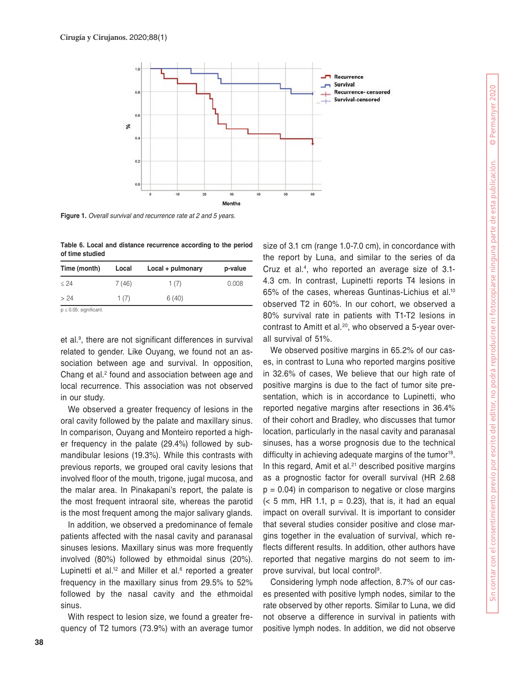

**Figure 1.** *Overall survival and recurrence rate at 2 and 5 years.*

**Table 6. Local and distance recurrence according to the period of time studied**

| Time (month) | Local | Local + pulmonary | p-value |
|--------------|-------|-------------------|---------|
| $\leq 24$    | 7(46) | 1(7)              | 0.008   |
| > 24         | 1(7)  | 6(40)             |         |

 $p < 0.05$ : significant.

et al.9 , there are not significant differences in survival related to gender. Like Ouyang, we found not an association between age and survival. In opposition, Chang et al.<sup>2</sup> found and association between age and local recurrence. This association was not observed in our study.

We observed a greater frequency of lesions in the oral cavity followed by the palate and maxillary sinus. In comparison, Ouyang and Monteiro reported a higher frequency in the palate (29.4%) followed by submandibular lesions (19.3%). While this contrasts with previous reports, we grouped oral cavity lesions that involved floor of the mouth, trigone, jugal mucosa, and the malar area. In Pinakapani's report, the palate is the most frequent intraoral site, whereas the parotid is the most frequent among the major salivary glands.

In addition, we observed a predominance of female patients affected with the nasal cavity and paranasal sinuses lesions. Maxillary sinus was more frequently involved (80%) followed by ethmoidal sinus (20%). Lupinetti et al.<sup>12</sup> and Miller et al.<sup>6</sup> reported a greater frequency in the maxillary sinus from 29.5% to 52% followed by the nasal cavity and the ethmoidal sinus.

With respect to lesion size, we found a greater frequency of T2 tumors (73.9%) with an average tumor size of 3.1 cm (range 1.0-7.0 cm), in concordance with the report by Luna, and similar to the series of da Cruz et al.4, who reported an average size of 3.1- 4.3 cm. In contrast, Lupinetti reports T4 lesions in 65% of the cases, whereas Guntinas-Lichius et al.10 observed T2 in 60%. In our cohort, we observed a 80% survival rate in patients with T1-T2 lesions in contrast to Amitt et al.<sup>20</sup>, who observed a 5-year overall survival of 51%.

We observed positive margins in 65.2% of our cases, in contrast to Luna who reported margins positive in 32.6% of cases, We believe that our high rate of positive margins is due to the fact of tumor site presentation, which is in accordance to Lupinetti, who reported negative margins after resections in 36.4% of their cohort and Bradley, who discusses that tumor location, particularly in the nasal cavity and paranasal sinuses, has a worse prognosis due to the technical difficulty in achieving adequate margins of the tumor<sup>18</sup>. In this regard, Amit et al.<sup>21</sup> described positive margins as a prognostic factor for overall survival (HR 2.68  $p = 0.04$ ) in comparison to negative or close margins  $(< 5$  mm, HR 1.1,  $p = 0.23$ ), that is, it had an equal impact on overall survival. It is important to consider that several studies consider positive and close margins together in the evaluation of survival, which reflects different results. In addition, other authors have reported that negative margins do not seem to improve survival, but local control<sup>9</sup>.

Considering lymph node affection, 8.7% of our cases presented with positive lymph nodes, similar to the rate observed by other reports. Similar to Luna, we did not observe a difference in survival in patients with positive lymph nodes. In addition, we did not observe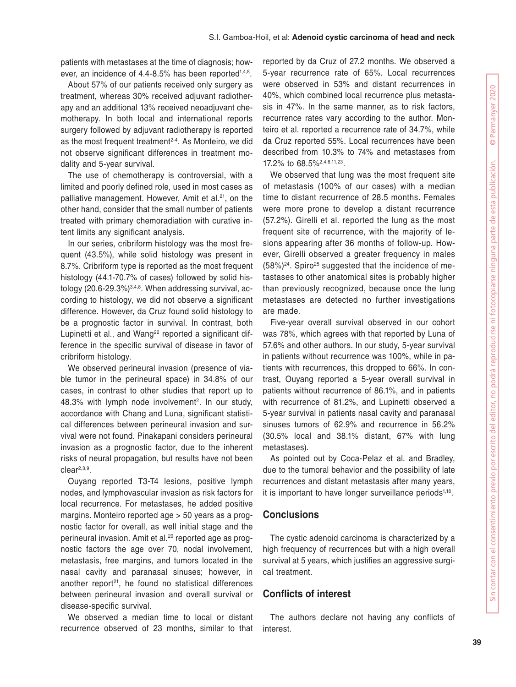patients with metastases at the time of diagnosis; however, an incidence of 4.4-8.5% has been reported<sup>1,4,8</sup>.

About 57% of our patients received only surgery as treatment, whereas 30% received adjuvant radiotherapy and an additional 13% received neoadjuvant chemotherapy. In both local and international reports surgery followed by adjuvant radiotherapy is reported as the most frequent treatment<sup>2-4</sup>. As Monteiro, we did not observe significant differences in treatment modality and 5-year survival.

The use of chemotherapy is controversial, with a limited and poorly defined role, used in most cases as palliative management. However, Amit et al.<sup>21</sup>, on the other hand, consider that the small number of patients treated with primary chemoradiation with curative intent limits any significant analysis.

In our series, cribriform histology was the most frequent (43.5%), while solid histology was present in 8.7%. Cribriform type is reported as the most frequent histology (44.1-70.7% of cases) followed by solid histology  $(20.6-29.3\%)^{3,4,8}$ . When addressing survival, according to histology, we did not observe a significant difference. However, da Cruz found solid histology to be a prognostic factor in survival. In contrast, both Lupinetti et al., and Wang<sup>22</sup> reported a significant difference in the specific survival of disease in favor of cribriform histology.

We observed perineural invasion (presence of viable tumor in the perineural space) in 34.8% of our cases, in contrast to other studies that report up to 48.3% with lymph node involvement<sup>2</sup>. In our study, accordance with Chang and Luna, significant statistical differences between perineural invasion and survival were not found. Pinakapani considers perineural invasion as a prognostic factor, due to the inherent risks of neural propagation, but results have not been clear2,3,9.

Ouyang reported T3-T4 lesions, positive lymph nodes, and lymphovascular invasion as risk factors for local recurrence. For metastases, he added positive margins. Monteiro reported age > 50 years as a prognostic factor for overall, as well initial stage and the perineural invasion. Amit et al.20 reported age as prognostic factors the age over 70, nodal involvement, metastasis, free margins, and tumors located in the nasal cavity and paranasal sinuses; however, in another report<sup> $21$ </sup>, he found no statistical differences between perineural invasion and overall survival or disease-specific survival.

We observed a median time to local or distant recurrence observed of 23 months, similar to that

reported by da Cruz of 27.2 months. We observed a 5-year recurrence rate of 65%. Local recurrences were observed in 53% and distant recurrences in 40%, which combined local recurrence plus metastasis in 47%. In the same manner, as to risk factors, recurrence rates vary according to the author. Monteiro et al. reported a recurrence rate of 34.7%, while da Cruz reported 55%. Local recurrences have been described from 10.3% to 74% and metastases from 17.2% to 68.5%2,4,8,11,23.

We observed that lung was the most frequent site of metastasis (100% of our cases) with a median time to distant recurrence of 28.5 months. Females were more prone to develop a distant recurrence (57.2%). Girelli et al. reported the lung as the most frequent site of recurrence, with the majority of lesions appearing after 36 months of follow-up. However, Girelli observed a greater frequency in males  $(58\%)^{24}$ . Spiro<sup>25</sup> suggested that the incidence of metastases to other anatomical sites is probably higher than previously recognized, because once the lung metastases are detected no further investigations are made.

Five-year overall survival observed in our cohort was 78%, which agrees with that reported by Luna of 57.6% and other authors. In our study, 5-year survival in patients without recurrence was 100%, while in patients with recurrences, this dropped to 66%. In contrast, Ouyang reported a 5-year overall survival in patients without recurrence of 86.1%, and in patients with recurrence of 81.2%, and Lupinetti observed a 5-year survival in patients nasal cavity and paranasal sinuses tumors of 62.9% and recurrence in 56.2% (30.5% local and 38.1% distant, 67% with lung metastases).

As pointed out by Coca-Pelaz et al. and Bradley, due to the tumoral behavior and the possibility of late recurrences and distant metastasis after many years, it is important to have longer surveillance periods<sup>1,18</sup>.

## **Conclusions**

The cystic adenoid carcinoma is characterized by a high frequency of recurrences but with a high overall survival at 5 years, which justifies an aggressive surgical treatment.

## **Conflicts of interest**

The authors declare not having any conflicts of interest.